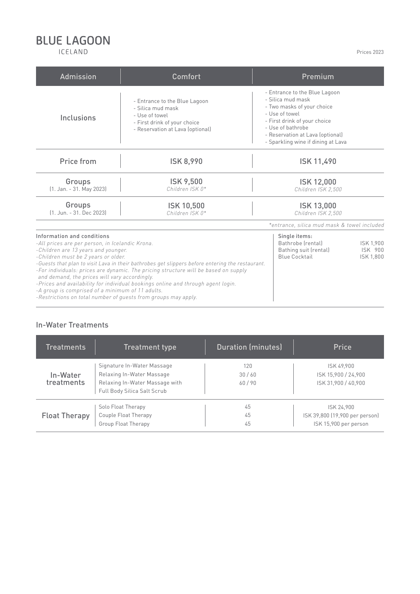# **BLUE LAGOON**

ICELAND

Prices 2023

| <b>Admission</b>                                                                                                                                                                                                                                                                                                                                                                                                                                                                                                                                                                                                 | Comfort                                                                                                                                  | Premium                                                                                                                                                                                                                           |  |
|------------------------------------------------------------------------------------------------------------------------------------------------------------------------------------------------------------------------------------------------------------------------------------------------------------------------------------------------------------------------------------------------------------------------------------------------------------------------------------------------------------------------------------------------------------------------------------------------------------------|------------------------------------------------------------------------------------------------------------------------------------------|-----------------------------------------------------------------------------------------------------------------------------------------------------------------------------------------------------------------------------------|--|
| Inclusions                                                                                                                                                                                                                                                                                                                                                                                                                                                                                                                                                                                                       | - Entrance to the Blue Lagoon<br>- Silica mud mask<br>- Use of towel<br>- First drink of your choice<br>- Reservation at Lava (optional) | - Entrance to the Blue Lagoon<br>- Silica mud mask<br>- Two masks of your choice<br>- Use of towel<br>- First drink of your choice<br>- Use of bathrobe<br>- Reservation at Lava (optional)<br>- Sparkling wine if dining at Lava |  |
| Price from                                                                                                                                                                                                                                                                                                                                                                                                                                                                                                                                                                                                       | <b>ISK 8,990</b>                                                                                                                         | <b>ISK 11,490</b>                                                                                                                                                                                                                 |  |
| Groups<br>(1. Jan. - 31. May 2023)                                                                                                                                                                                                                                                                                                                                                                                                                                                                                                                                                                               | <b>ISK 9,500</b><br>Children ISK 0*                                                                                                      | <b>ISK 12,000</b><br>Children ISK 2,500                                                                                                                                                                                           |  |
| Groups<br>[1. Jun. - 31. Dec 2023]                                                                                                                                                                                                                                                                                                                                                                                                                                                                                                                                                                               | <b>ISK 10,500</b><br>Children ISK 0*                                                                                                     | <b>ISK 13,000</b><br>Children ISK 2,500                                                                                                                                                                                           |  |
|                                                                                                                                                                                                                                                                                                                                                                                                                                                                                                                                                                                                                  |                                                                                                                                          | *entrance, silica mud mask & towel included                                                                                                                                                                                       |  |
| Information and conditions<br>-All prices are per person, in Icelandic Krona.<br>-Children are 13 years and younger.<br>-Children must be 2 years or older.<br>-Guests that plan to visit Lava in their bathrobes get slippers before entering the restaurant.<br>-For individuals: prices are dynamic. The pricing structure will be based on supply<br>and demand, the prices will vary accordingly.<br>-Prices and availability for individual bookings online and through agent login.<br>-A group is comprised of a minimum of 11 adults.<br>-Restrictions on total number of quests from groups may apply. | Single items:<br>Bathrobe (rental)<br>ISK 1,900<br>Bathing suit (rental)<br>ISK 900<br><b>Blue Cocktail</b><br>ISK 1,800                 |                                                                                                                                                                                                                                   |  |

## In-Water Treatments

| <b>Treatments</b>      | <b>Treatment type</b>                                                                                                    | <b>Duration (minutes)</b> | Price                                                                 |
|------------------------|--------------------------------------------------------------------------------------------------------------------------|---------------------------|-----------------------------------------------------------------------|
| In-Water<br>treatments | Signature In-Water Massage<br>Relaxing In-Water Massage<br>Relaxing In-Water Massage with<br>Full Body Silica Salt Scrub | 120<br>30/60<br>60/90     | ISK 49.900<br>ISK 15,900 / 24,900<br>ISK 31,900 / 40,900              |
| <b>Float Therapy</b>   | Solo Float Therapy<br>Couple Float Therapy<br>Group Float Therapy                                                        | 45<br>45<br>45            | ISK 24.900<br>ISK 39,800 (19,900 per person)<br>ISK 15,900 per person |